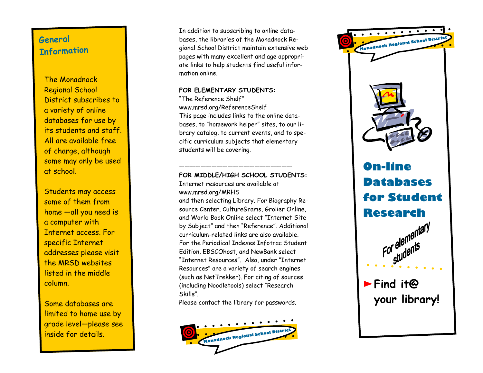## **Ge neral Inf o r m atio n**

The Monadnock Regional School District subscribes to a variety of online databases for use by its students and staff. All are available free of charge, although some may only be used at school.

Students may access some of them from home —all you need is a computer with Internet access. For specific Internet addresses please visit the MRSD websites listed in the middle column.

Some databases are limited to home use by grade level—please see inside for details.

In addition to subscribing to online databases, the libraries of the Monadnock Regional School District maintain extensive web pages with many excellent and age appropriate links to help students find useful information online.

### **FOR ELEMENTARY STUDENTS:**

"The Reference Shelf" www.mrsd.org/ReferenceShelf This page includes links to the online databases, to "homework helper" sites, to our library catalog, to current events, and to specific curriculum subjects that elementary students will be covering.

## **FOR MIDDLE/HIGH SCHOOL STUDENTS:**

—————————————————————

Internet resources are available at www.mrsd.org/MRHS

and then selecting Library. For Biography Resource Center, CultureGrams, Grolier Online, and World Book Online select "Internet Site by Subject" and then "Reference". Additional curriculum-related links are also available. For the Periodical Indexes Infotrac Student Edition, EBSCOhost, and NewBank select "Internet Resources". Also, under "Internet Resources" are a variety of search engines (such as NetTrekker). For citing of sources (including Noodletools) select "Research Skills".

Please contact the library for passwords.